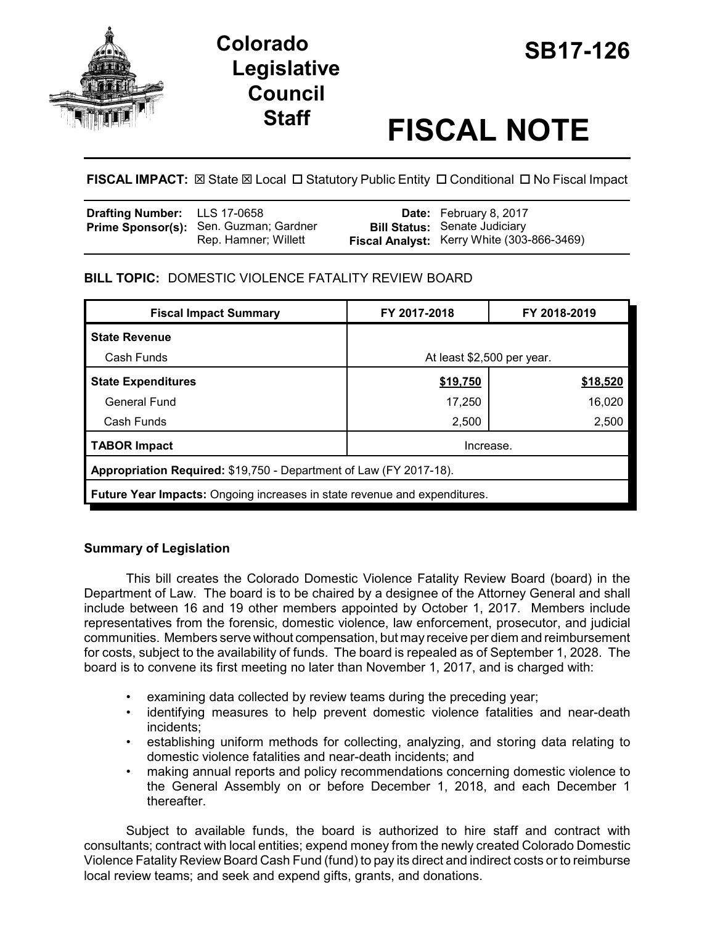

# **SB17-126 Colorado Legislative Council**

# **Staff FISCAL NOTE**

**FISCAL IMPACT:**  $\boxtimes$  **State**  $\boxtimes$  **Local □ Statutory Public Entity □ Conditional □ No Fiscal Impact** 

| Drafting Number: LLS 17-0658 |                                                                | <b>Date:</b> February 8, 2017                                                      |
|------------------------------|----------------------------------------------------------------|------------------------------------------------------------------------------------|
|                              | Prime Sponsor(s): Sen. Guzman; Gardner<br>Rep. Hamner; Willett | <b>Bill Status: Senate Judiciary</b><br>Fiscal Analyst: Kerry White (303-866-3469) |

## **BILL TOPIC:** DOMESTIC VIOLENCE FATALITY REVIEW BOARD

| <b>Fiscal Impact Summary</b>                                              | FY 2017-2018               | FY 2018-2019 |  |  |  |  |
|---------------------------------------------------------------------------|----------------------------|--------------|--|--|--|--|
| <b>State Revenue</b>                                                      |                            |              |  |  |  |  |
| Cash Funds                                                                | At least \$2,500 per year. |              |  |  |  |  |
| <b>State Expenditures</b>                                                 | \$19,750                   | \$18,520     |  |  |  |  |
| General Fund                                                              | 17,250                     | 16.020       |  |  |  |  |
| Cash Funds                                                                | 2,500                      | 2,500        |  |  |  |  |
| <b>TABOR Impact</b>                                                       | Increase.                  |              |  |  |  |  |
| Appropriation Required: \$19,750 - Department of Law (FY 2017-18).        |                            |              |  |  |  |  |
| Future Year Impacts: Ongoing increases in state revenue and expenditures. |                            |              |  |  |  |  |

### **Summary of Legislation**

This bill creates the Colorado Domestic Violence Fatality Review Board (board) in the Department of Law. The board is to be chaired by a designee of the Attorney General and shall include between 16 and 19 other members appointed by October 1, 2017. Members include representatives from the forensic, domestic violence, law enforcement, prosecutor, and judicial communities. Members serve without compensation, but may receive per diem and reimbursement for costs, subject to the availability of funds. The board is repealed as of September 1, 2028. The board is to convene its first meeting no later than November 1, 2017, and is charged with:

- examining data collected by review teams during the preceding year;
- identifying measures to help prevent domestic violence fatalities and near-death incidents;
- establishing uniform methods for collecting, analyzing, and storing data relating to domestic violence fatalities and near-death incidents; and
- making annual reports and policy recommendations concerning domestic violence to the General Assembly on or before December 1, 2018, and each December 1 thereafter.

Subject to available funds, the board is authorized to hire staff and contract with consultants; contract with local entities; expend money from the newly created Colorado Domestic Violence Fatality Review Board Cash Fund (fund) to pay its direct and indirect costs or to reimburse local review teams; and seek and expend gifts, grants, and donations.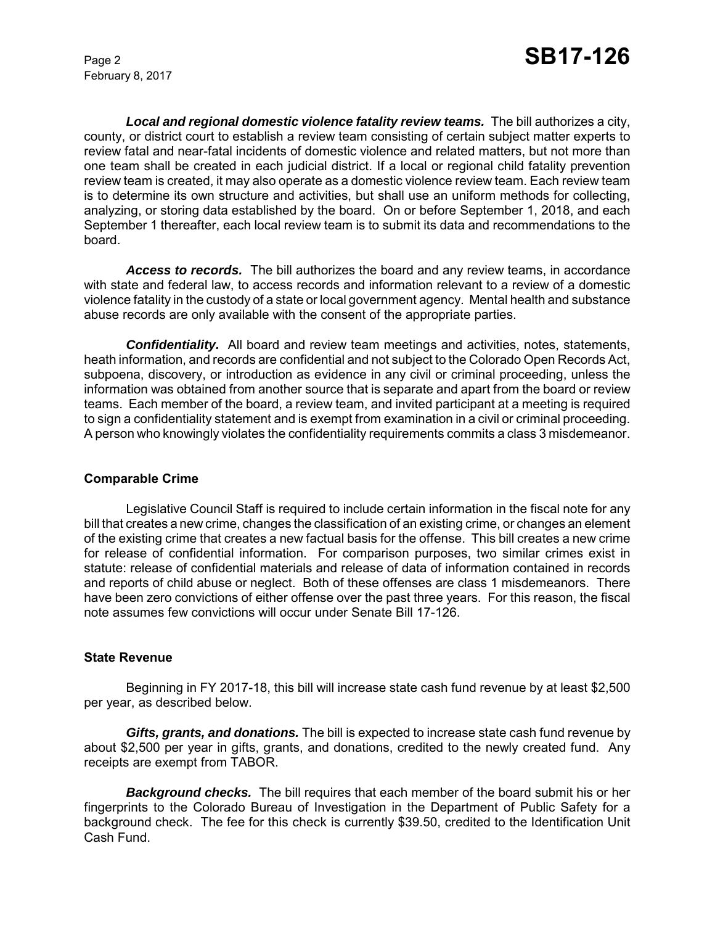February 8, 2017

*Local and regional domestic violence fatality review teams.* The bill authorizes a city, county, or district court to establish a review team consisting of certain subject matter experts to review fatal and near-fatal incidents of domestic violence and related matters, but not more than one team shall be created in each judicial district. If a local or regional child fatality prevention review team is created, it may also operate as a domestic violence review team. Each review team is to determine its own structure and activities, but shall use an uniform methods for collecting, analyzing, or storing data established by the board. On or before September 1, 2018, and each September 1 thereafter, each local review team is to submit its data and recommendations to the board.

*Access to records.* The bill authorizes the board and any review teams, in accordance with state and federal law, to access records and information relevant to a review of a domestic violence fatality in the custody of a state or local government agency. Mental health and substance abuse records are only available with the consent of the appropriate parties.

*Confidentiality.* All board and review team meetings and activities, notes, statements, heath information, and records are confidential and not subject to the Colorado Open Records Act, subpoena, discovery, or introduction as evidence in any civil or criminal proceeding, unless the information was obtained from another source that is separate and apart from the board or review teams. Each member of the board, a review team, and invited participant at a meeting is required to sign a confidentiality statement and is exempt from examination in a civil or criminal proceeding. A person who knowingly violates the confidentiality requirements commits a class 3 misdemeanor.

#### **Comparable Crime**

Legislative Council Staff is required to include certain information in the fiscal note for any bill that creates a new crime, changes the classification of an existing crime, or changes an element of the existing crime that creates a new factual basis for the offense. This bill creates a new crime for release of confidential information. For comparison purposes, two similar crimes exist in statute: release of confidential materials and release of data of information contained in records and reports of child abuse or neglect. Both of these offenses are class 1 misdemeanors. There have been zero convictions of either offense over the past three years. For this reason, the fiscal note assumes few convictions will occur under Senate Bill 17-126.

#### **State Revenue**

Beginning in FY 2017-18, this bill will increase state cash fund revenue by at least \$2,500 per year, as described below.

*Gifts, grants, and donations.* The bill is expected to increase state cash fund revenue by about \$2,500 per year in gifts, grants, and donations, credited to the newly created fund. Any receipts are exempt from TABOR.

*Background checks.* The bill requires that each member of the board submit his or her fingerprints to the Colorado Bureau of Investigation in the Department of Public Safety for a background check. The fee for this check is currently \$39.50, credited to the Identification Unit Cash Fund.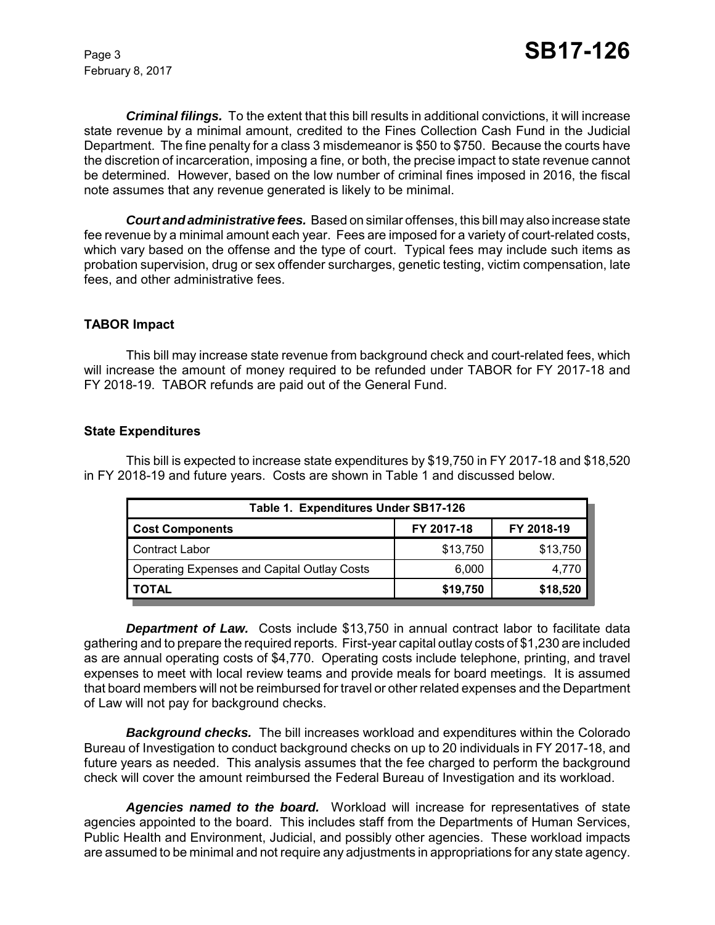February 8, 2017

*Criminal filings.* To the extent that this bill results in additional convictions, it will increase state revenue by a minimal amount, credited to the Fines Collection Cash Fund in the Judicial Department. The fine penalty for a class 3 misdemeanor is \$50 to \$750. Because the courts have the discretion of incarceration, imposing a fine, or both, the precise impact to state revenue cannot be determined. However, based on the low number of criminal fines imposed in 2016, the fiscal note assumes that any revenue generated is likely to be minimal.

*Court and administrative fees.* Based on similar offenses, this bill may also increase state fee revenue by a minimal amount each year. Fees are imposed for a variety of court-related costs, which vary based on the offense and the type of court. Typical fees may include such items as probation supervision, drug or sex offender surcharges, genetic testing, victim compensation, late fees, and other administrative fees.

#### **TABOR Impact**

This bill may increase state revenue from background check and court-related fees, which will increase the amount of money required to be refunded under TABOR for FY 2017-18 and FY 2018-19. TABOR refunds are paid out of the General Fund.

#### **State Expenditures**

This bill is expected to increase state expenditures by \$19,750 in FY 2017-18 and \$18,520 in FY 2018-19 and future years. Costs are shown in Table 1 and discussed below.

| Table 1. Expenditures Under SB17-126               |            |            |  |  |  |
|----------------------------------------------------|------------|------------|--|--|--|
| <b>Cost Components</b>                             | FY 2017-18 | FY 2018-19 |  |  |  |
| Contract Labor                                     | \$13,750   | \$13,750   |  |  |  |
| <b>Operating Expenses and Capital Outlay Costs</b> | 6,000      | 4.770      |  |  |  |
| <b>TOTAL</b>                                       | \$19,750   | \$18,520   |  |  |  |

**Department of Law.** Costs include \$13,750 in annual contract labor to facilitate data gathering and to prepare the required reports. First-year capital outlay costs of \$1,230 are included as are annual operating costs of \$4,770. Operating costs include telephone, printing, and travel expenses to meet with local review teams and provide meals for board meetings. It is assumed that board members will not be reimbursed for travel or other related expenses and the Department of Law will not pay for background checks.

*Background checks.* The bill increases workload and expenditures within the Colorado Bureau of Investigation to conduct background checks on up to 20 individuals in FY 2017-18, and future years as needed. This analysis assumes that the fee charged to perform the background check will cover the amount reimbursed the Federal Bureau of Investigation and its workload.

*Agencies named to the board.* Workload will increase for representatives of state agencies appointed to the board. This includes staff from the Departments of Human Services, Public Health and Environment, Judicial, and possibly other agencies. These workload impacts are assumed to be minimal and not require any adjustments in appropriations for any state agency.